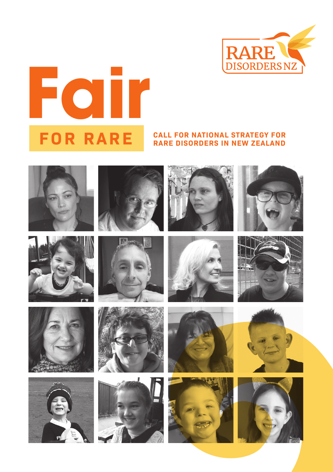



#### **FOR RARE CALL FOR NATIONAL STRATEGY FOR RARE DISORDERS IN NEW ZEALAND**



























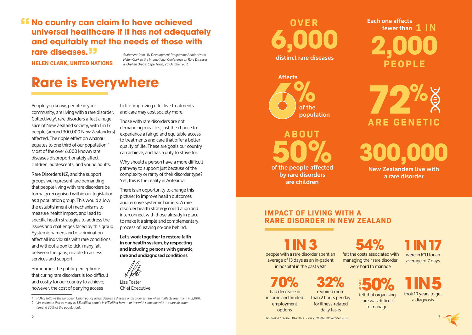# **ff No country can claim to have achieved universal healthcare if it has not adequately and equitably met the needs of those with rare diseases. "**

**HELEN CLARK, UNITED NATIONS**

*Statement from UN Development Programme Administrator Helen Clark to the International Conference on Rare Diseases & Orphan Drugs, Cape Town, 20 October 2016*

# **Rare is Everywhere**

People you know, people in your community, are living with a rare disorder. Collectively', rare disorders affect a huge slice of New Zealand society, with 1 in 17 people (around 300,000 New Zealanders) affected. The ripple effect on whānau equates to one third of our population.2 Most of the over 6,000 known rare diseases disproportionately affect children, adolescents, and young adults.

Rare Disorders NZ, and the support groups we represent, are demanding that people living with rare disorders be formally recognised within our legislation as a population group. This would allow the establishment of mechanisms to measure health impact, and lead to specific health strategies to address the issues and challenges faced by this group. Systemic barriers and discrimination affect all individuals with rare conditions, and without a box to tick, many fall between the gaps, unable to access services and support.

Sometimes the public perception is that curing rare disorders is too difficult and costly for our country to achieve; however, the cost of denying access

to life-improving effective treatments and care may cost society more.

Those with rare disorders are not demanding miracles, just the chance to experience a fair go and equitable access to treatments and care that offer a better quality of life. These are goals our country can achieve, and has a duty to strive for.

Why should a person have a more difficult pathway to support just because of the complexity or rarity of their disorder type? Yet, this is the reality in Aotearoa.

There is an opportunity to change this picture; to improve health outcomes and remove systemic barriers. A rare disorder health strategy could align and interconnect with those already in place to make it a simple and complementary process of leaving no-one behind.

**Let's work together to restore faith in our health system, by respecting and including persons with genetic, rare and undiagnosed conditions.** 



Lisa Foster Chief Executive

*1 RDNZ follows the European Union policy which defines a disease or disorder as rare when it affects less than 1 in 2,000.*

*2 We estimate that as many as 1.5 million people in NZ either have – or live with someone with – a rare disorder (around 30% of the population).*

**6,000**

**distinct rare diseases**



**of the people affected 50% by rare disorders are children ABOUT**

**OVER Each one affects fewer than 1 I N 2,000 PEOPLE**

> **ARE GENETIC 72%**

**300,000 New Zealanders live with** 

**a rare disorder**

#### **IMPACT OF LIVING WITH A RARE DISORDER IN NEW ZEALAND**

**1 IN 3** 

people with a rare disorder spent an average of 13 days as an in-patient in hospital in the past year

### **32%**  required more

daily tasks

**70%** had decrease in income and limited employment options

**54%**<br>felt the costs associated with managing their rare disorder were hard to manage

**1 IN 17**  were in ICU for an average of 7 days

than 2 hours per day for illness-related **50%** care was difficult to manage

**1 IN 5**<br>took 10 years to get a diagnosis

*NZ Voice of Rare Disorders Survey, RDNZ, November 2021* 2 3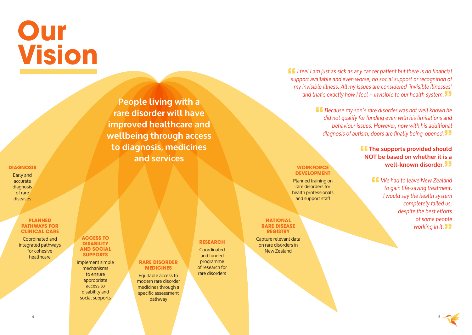# **Our Vision**

## **People living with a rare disorder will have improved healthcare and wellbeing through access to diagnosis, medicines and services**

**RARE DISORDER MEDICINES** Equitable access to modern rare disorder medicines through a specific assessment pathway

Early and accurate diagnosis of rare diseases

**DIAGNOSIS**

#### **PLANNED PATHWAYS FOR CLINICAL CARE**

Coordinated and integrated pathways for cohesive healthcare

**ACCESS TO DISABILITY AND SOCIAL SUPPORTS**

Implement simple mechanisms to ensure appropriate access to disability and social supports

#### **RESEARCH**

Coordinated and funded programme of research for rare disorders **"***I feel I am just as sick as any cancer patient but there is no financial support available and even worse, no social support or recognition of my invisible illness. All my issues are considered 'invisible illnesses' and that's exactly how I feel – invisible to our health system.***"**

**"***Because my son's rare disorder was not well known he did not qualify for funding even with his limitations and behaviour issues. However, now with his additional diagnosis of autism, doors are finally being opened.***"**

#### **f** The supports provided should **NOT be based on whether it is a well-known disorder."**

**"***We had to leave New Zealand to gain life-saving treatment. I would say the health system completely failed us, despite the best efforts of some people working in it.***"**

#### **WORKFORCE DEVELOPMENT**

Planned training on rare disorders for health professionals and support staff

**NATIONAL RARE DISEASE REGISTRY**

Capture relevant data on rare disorders in New Zealand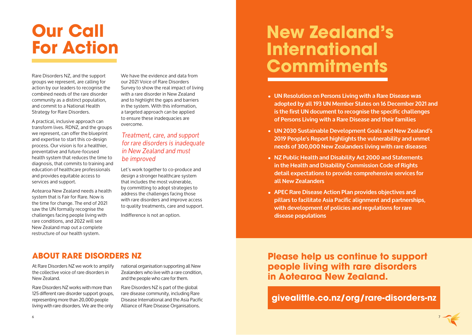# **Our Call For Action**

Rare Disorders NZ, and the support groups we represent, are calling for action by our leaders to recognise the combined needs of the rare disorder community as a distinct population, and commit to a National Health Strategy for Rare Disorders.

A practical, inclusive approach can transform lives. RDNZ, and the groups we represent, can offer the blueprint and expertise to start this co-design process. Our vision is for a healthier, preventative and future-focused health system that reduces the time to diagnosis, that commits to training and education of healthcare professionals and provides equitable access to services and support.

Aotearoa New Zealand needs a health system that is Fair for Rare. Now is the time for change. The end of 2021 saw the UN formally recognise the challenges facing people living with rare conditions, and 2022 will see New Zealand map out a complete restructure of our health system.

We have the evidence and data from our 2021 Voice of Rare Disorders Survey to show the real impact of living with a rare disorder in New Zealand and to highlight the gaps and barriers in the system. With this information, a targeted approach can be applied to ensure these inadequacies are overcome.

#### *Treatment, care, and support for rare disorders is inadequate in New Zealand and must be improved*

Let's work together to co-produce and design a stronger healthcare system that includes the most vulnerable, by committing to adopt strategies to address the challenges facing those with rare disorders and improve access to quality treatments, care and support.

Indifference is not an option.

# **New Zealand's International Commitments**

- UN Resolution on Persons Living with a Rare Disease was adopted by all 193 UN Member States on 16 December 2021 and is the first UN document to recognise the specific challenges **of Persons Living with a Rare Disease and their families**
- **• UN 2030 Sustainable Development Goals and New Zealand's 2019 People's Report highlights the vulnerability and unmet needs of 300,000 New Zealanders living with rare diseases**
- **• NZ Public Health and Disability Act 2000 and Statements in the Health and Disability Commission Code of Rights detail expectations to provide comprehensive services for all New Zealanders**
- **• APEC Rare Disease Action Plan provides objectives and pillars to facilitate Asia Pacific alignment and partnerships, with development of policies and regulations for rare disease populations**

### **ABOUT RARE DISORDERS NZ**

At Rare Disorders NZ we work to amplify the collective voice of rare disorders in New Zealand.

Rare Disorders NZ works with more than 125 different rare disorder support groups, representing more than 20,000 people living with rare disorders. We are the only national organisation supporting all New Zealanders who live with a rare condition, and the people who care for them.

Rare Disorders NZ is part of the global rare disease community, including Rare Disease International and the Asia Pacific Alliance of Rare Disease Organisations.

**Please help us continue to support people living with rare disorders in Aotearoa New Zealand.**

### **givealittle.co.nz/org/rare-disorders-nz**